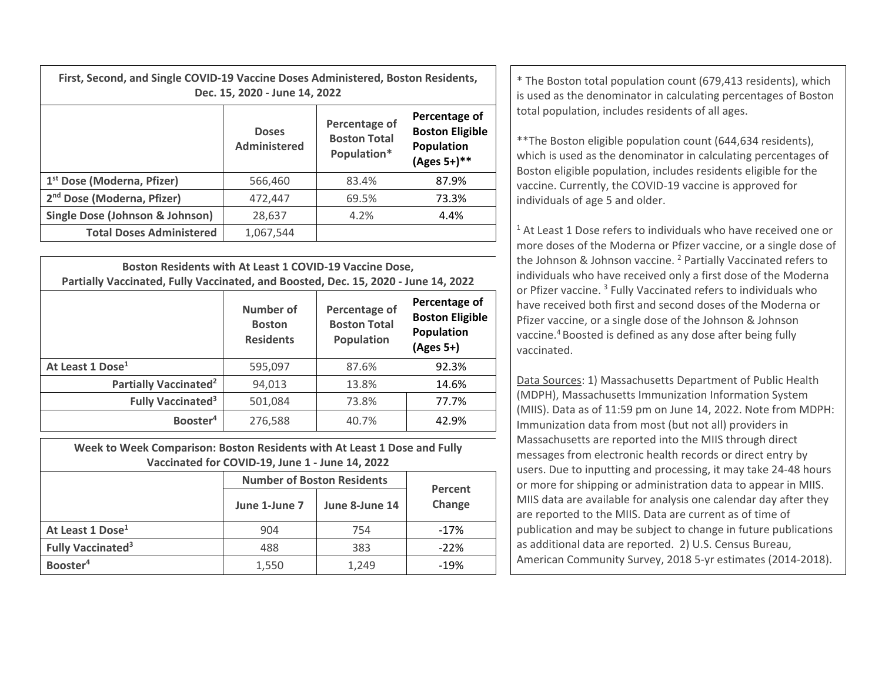**First, Second, and Single COVID‐19 Vaccine Doses Administered, Boston Residents,** Dec. 15, 2020 - June 14, 2022

|                                        | <b>Doses</b><br><b>Administered</b> | Percentage of<br><b>Boston Total</b><br>Population* | Percentage of<br><b>Boston Eligible</b><br>Population<br>$(Ages 5+)$ ** |
|----------------------------------------|-------------------------------------|-----------------------------------------------------|-------------------------------------------------------------------------|
| 1 <sup>st</sup> Dose (Moderna, Pfizer) | 566,460                             | 83.4%                                               | 87.9%                                                                   |
| 2 <sup>nd</sup> Dose (Moderna, Pfizer) | 472,447                             | 69.5%                                               | 73.3%                                                                   |
| Single Dose (Johnson & Johnson)        | 28,637                              | 4.2%                                                | 4.4%                                                                    |
| <b>Total Doses Administered</b>        | 1,067,544                           |                                                     |                                                                         |

| Boston Residents with At Least 1 COVID-19 Vaccine Dose,<br>Partially Vaccinated, Fully Vaccinated, and Boosted, Dec. 15, 2020 - June 14, 2022 |                                                |                                                    |                                                                    |  |  |
|-----------------------------------------------------------------------------------------------------------------------------------------------|------------------------------------------------|----------------------------------------------------|--------------------------------------------------------------------|--|--|
|                                                                                                                                               | Number of<br><b>Boston</b><br><b>Residents</b> | Percentage of<br><b>Boston Total</b><br>Population | Percentage of<br><b>Boston Eligible</b><br>Population<br>(Ages 5+) |  |  |
| At Least 1 Dose <sup>1</sup>                                                                                                                  | 595,097                                        | 87.6%                                              | 92.3%                                                              |  |  |
| Partially Vaccinated <sup>2</sup>                                                                                                             | 94,013                                         | 13.8%                                              | 14.6%                                                              |  |  |
| <b>Fully Vaccinated<sup>3</sup></b>                                                                                                           | 501,084                                        | 73.8%                                              | 77.7%                                                              |  |  |
| Booster <sup>4</sup>                                                                                                                          | 276,588                                        | 40.7%                                              | 42.9%                                                              |  |  |

**Week to Week Comparison: Boston Residents with At Least 1 Dose and Fully Vaccinated for COVID‐19, June 1 ‐ June 14, 2022**

|                               | <b>Number of Boston Residents</b> | Percent        |        |
|-------------------------------|-----------------------------------|----------------|--------|
|                               | June 1-June 7                     | June 8-June 14 | Change |
| At Least 1 Dose <sup>1</sup>  | 904                               | 754            | $-17%$ |
| Fully Vaccinated <sup>3</sup> | 488                               | 383            | $-22%$ |
| Booster <sup>4</sup>          | 1,550                             | 1,249          | $-19%$ |

**15, 2020 - June 14, 2022 Constructed as a large set of the Boston total population count (679,413 residents), which is used as the denominator in calculating percentages of Boston in the Boston in the denominator in cal** total population, includes residents of all ages.

> \*\*The Boston eligible population count (644,634 residents), which is used as the denominator in calculating percentages of Boston eligible population, includes residents eligible for the vaccine. Currently, the COVID‐19 vaccine is approved for individuals of age 5 and older.

 $1$  At Least 1 Dose refers to individuals who have received one or more doses of the Moderna or Pfizer vaccine, or <sup>a</sup> single dose of the Johnson & Johnson vaccine. <sup>2</sup> Partially Vaccinated refers to individuals who have received only <sup>a</sup> first dose of the Moderna or Pfizer vaccine. <sup>3</sup> Fully Vaccinated refers to individuals who have received both first and second doses of the Moderna or Pfizer vaccine, or <sup>a</sup> single dose of the Johnson & Johnson vaccine.<sup>4</sup> Boosted is defined as any dose after being fully vaccinated.

Data Sources: 1) Massachusetts Department of Public Health (MDPH), Massachusetts Immunization Information System (MIIS). Data as of 11:59 pm on June 14, 2022. Note from MDPH: Immunization data from most (but not all) providers in Massachusetts are reported into the MIIS through direct messages from electronic health records or direct entry by users. Due to inputting and processing, it may take 24‐48 hours or more for shipping or administration data to appear in MIIS. MIIS data are available for analysis one calendar day after they are reported to the MIIS. Data are current as of time of publication and may be subject to change in future publications as additional data are reported. 2) U.S. Census Bureau, American Community Survey, 2018 5‐yr estimates (2014‐2018).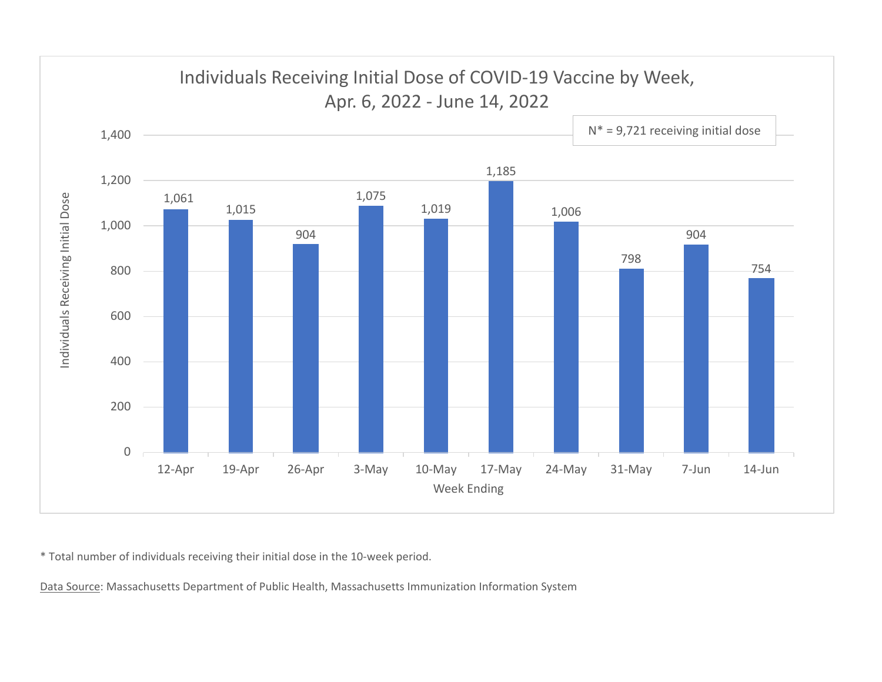

\* Total number of individuals receiving their initial dose in the 10‐week period.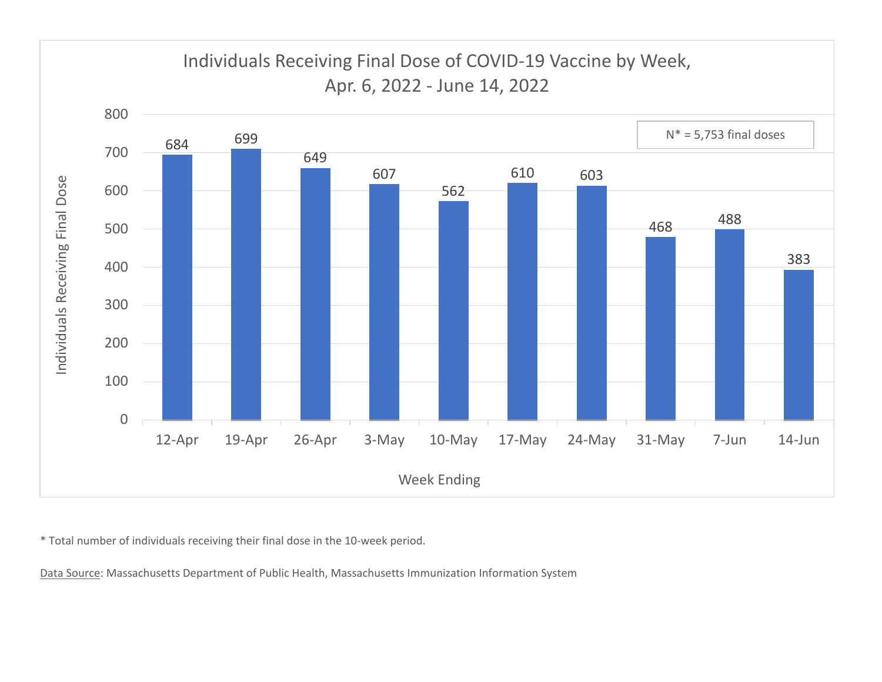

\* Total number of individuals receiving their final dose in the 10‐week period.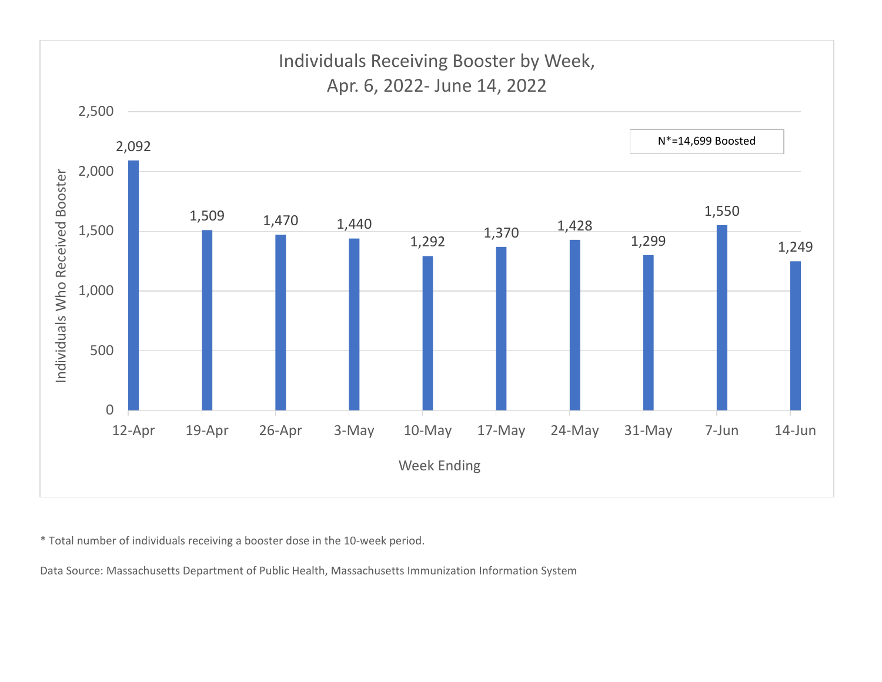

\* Total number of individuals receiving <sup>a</sup> booster dose in the 10‐week period.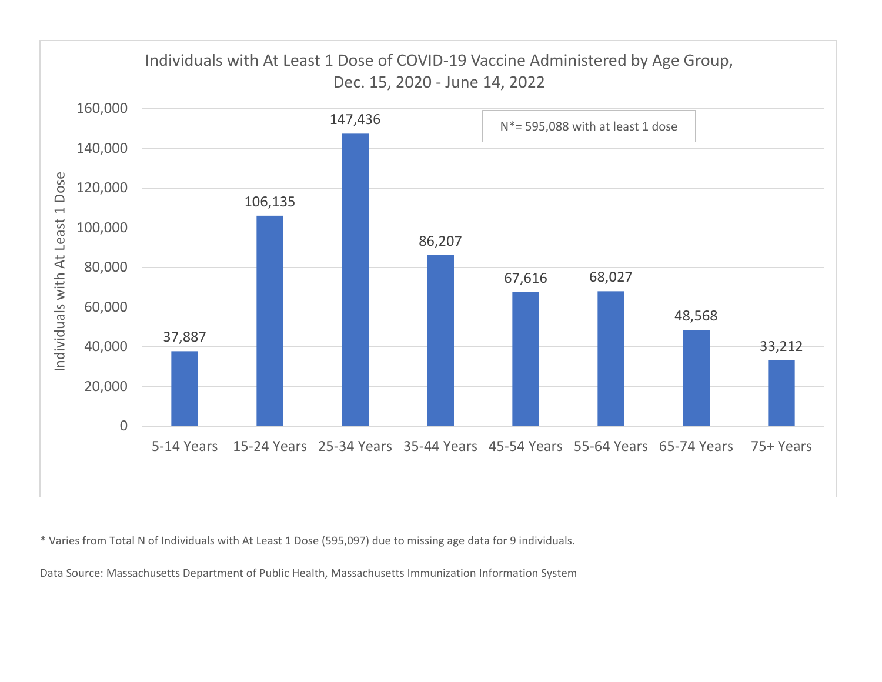

\* Varies from Total N of Individuals with At Least 1 Dose (595,097) due to missing age data for 9 individuals.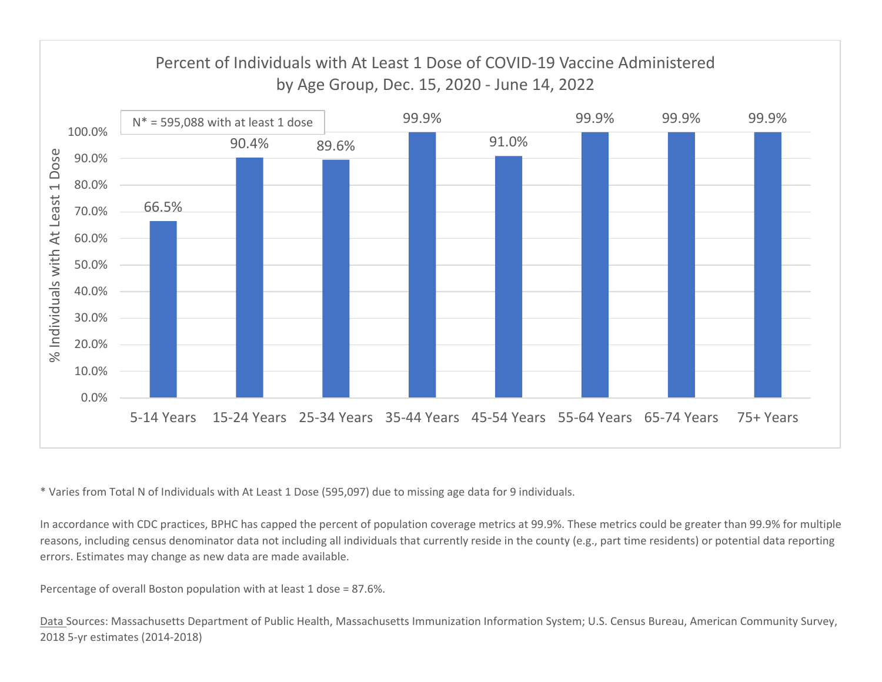

\* Varies from Total N of Individuals with At Least 1 Dose (595,097) due to missing age data for 9 individuals.

In accordance with CDC practices, BPHC has capped the percent of population coverage metrics at 99.9%. These metrics could be greater than 99.9% for multiple reasons, including census denominator data not including all individuals that currently reside in the county (e.g., part time residents) or potential data reporting errors. Estimates may change as new data are made available.

Percentage of overall Boston population with at least 1 dose <sup>=</sup> 87.6%.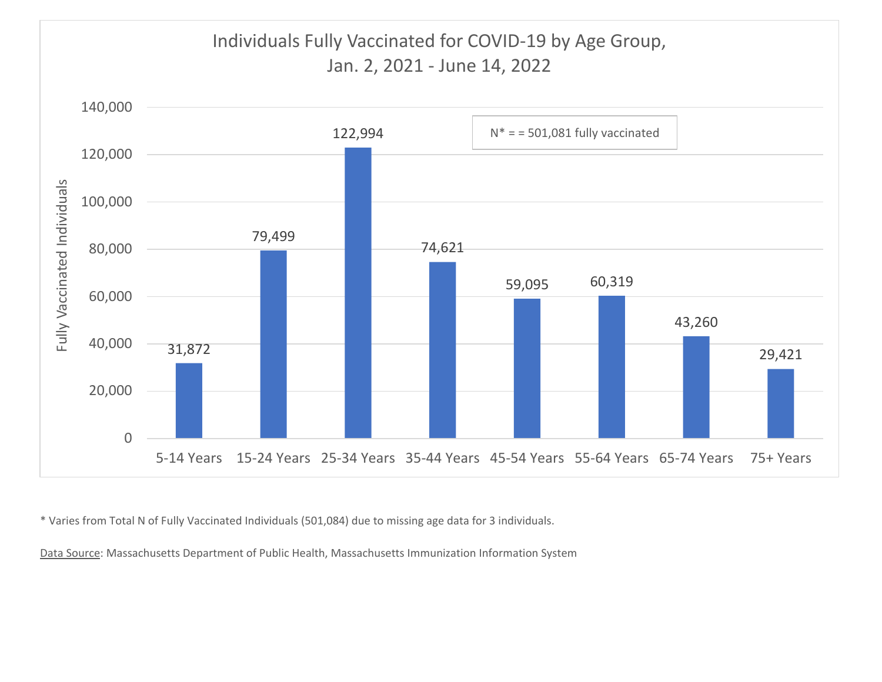

\* Varies from Total N of Fully Vaccinated Individuals (501,084) due to missing age data for 3 individuals.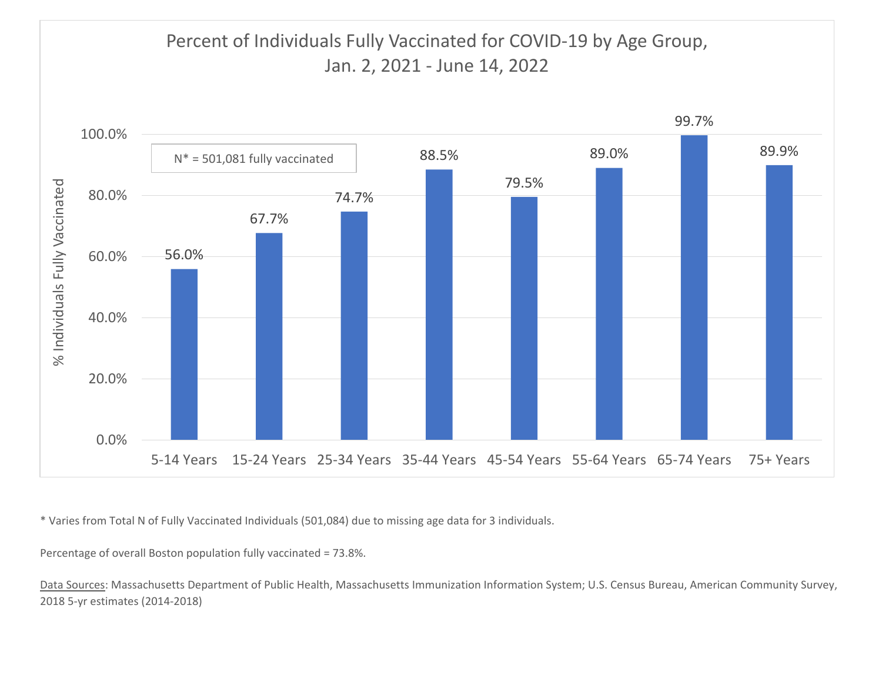

\* Varies from Total N of Fully Vaccinated Individuals (501,084) due to missing age data for 3 individuals.

Percentage of overall Boston population fully vaccinated <sup>=</sup> 73.8%.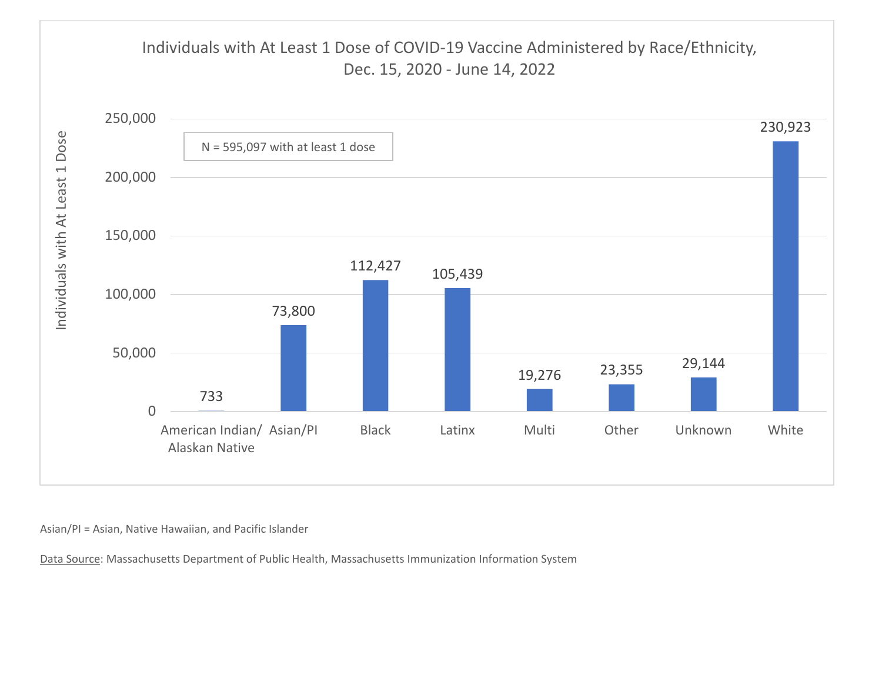

Asian/PI <sup>=</sup> Asian, Native Hawaiian, and Pacific Islander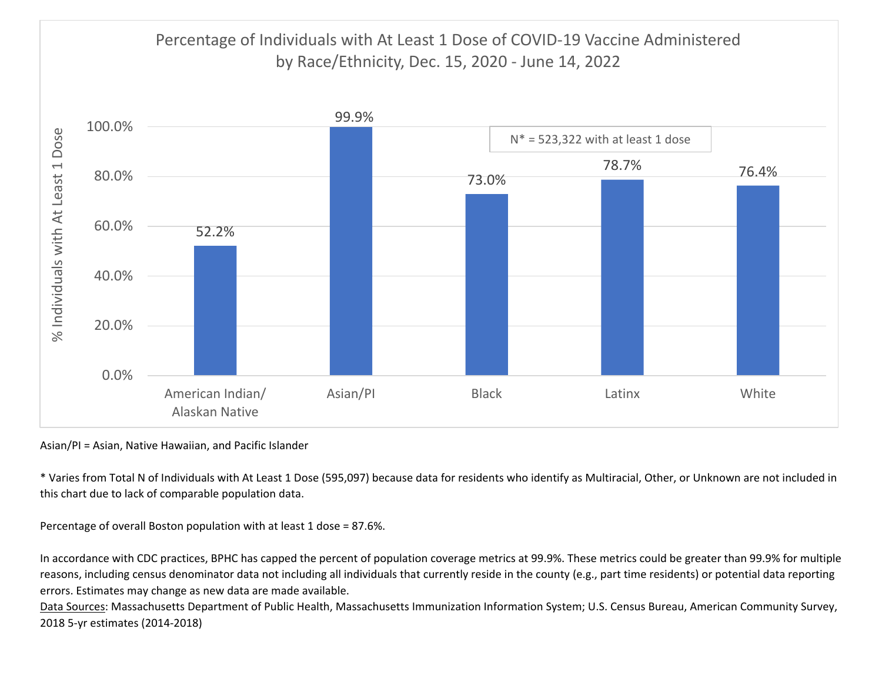

Asian/PI <sup>=</sup> Asian, Native Hawaiian, and Pacific Islander

\* Varies from Total N of Individuals with At Least 1 Dose (595,097) because data for residents who identify as Multiracial, Other, or Unknown are not included in this chart due to lack of comparable population data.

Percentage of overall Boston population with at least 1 dose <sup>=</sup> 87.6%.

In accordance with CDC practices, BPHC has capped the percent of population coverage metrics at 99.9%. These metrics could be greater than 99.9% for multiple reasons, including census denominator data not including all individuals that currently reside in the county (e.g., part time residents) or potential data reporting errors. Estimates may change as new data are made available.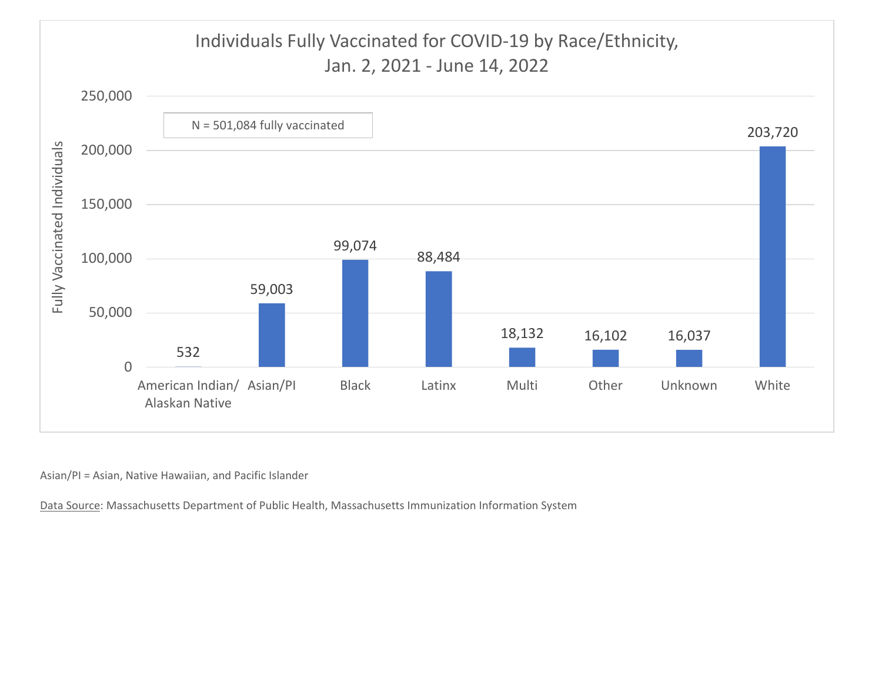

Asian/PI <sup>=</sup> Asian, Native Hawaiian, and Pacific Islander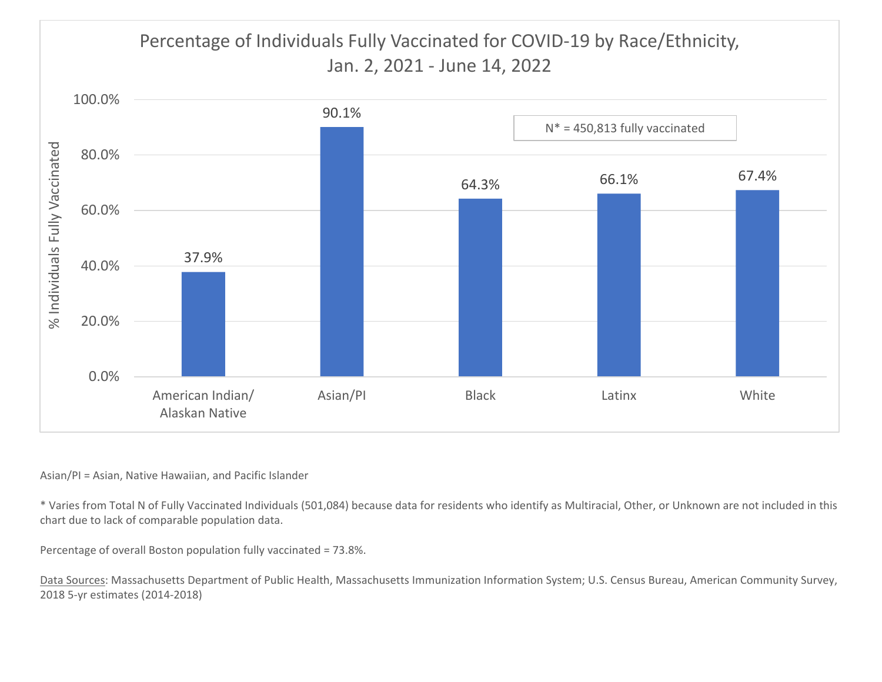# Percentage of Individuals Fully Vaccinated for COVID‐19 by Race/Ethnicity, Jan. 2, 2021 ‐ June 14, 2022



#### Asian/PI <sup>=</sup> Asian, Native Hawaiian, and Pacific Islander

\* Varies from Total N of Fully Vaccinated Individuals (501,084) because data for residents who identify as Multiracial, Other, or Unknown are not included in this chart due to lack of comparable population data.

Percentage of overall Boston population fully vaccinated <sup>=</sup> 73.8%.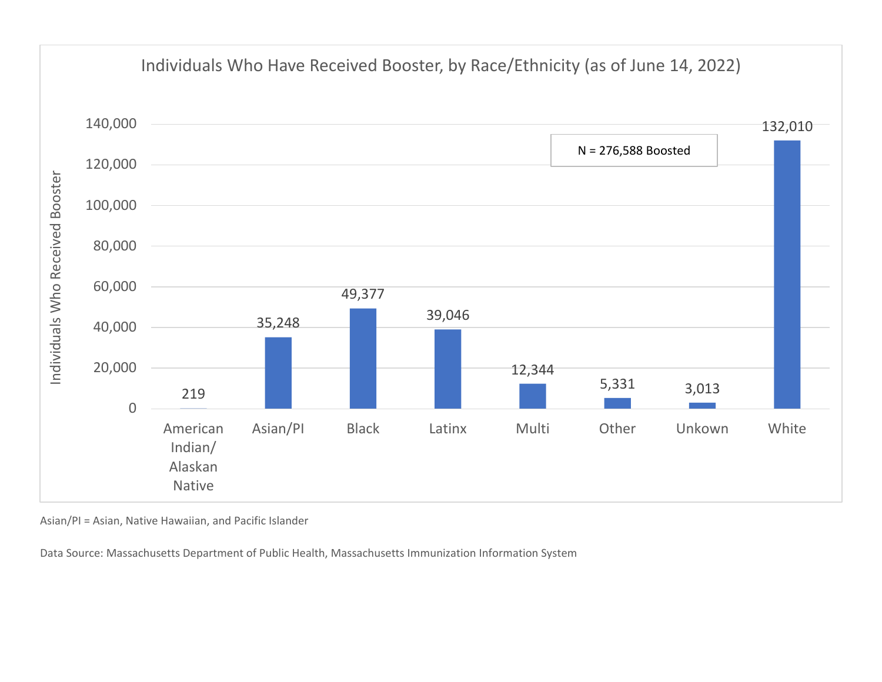

Asian/PI <sup>=</sup> Asian, Native Hawaiian, and Pacific Islander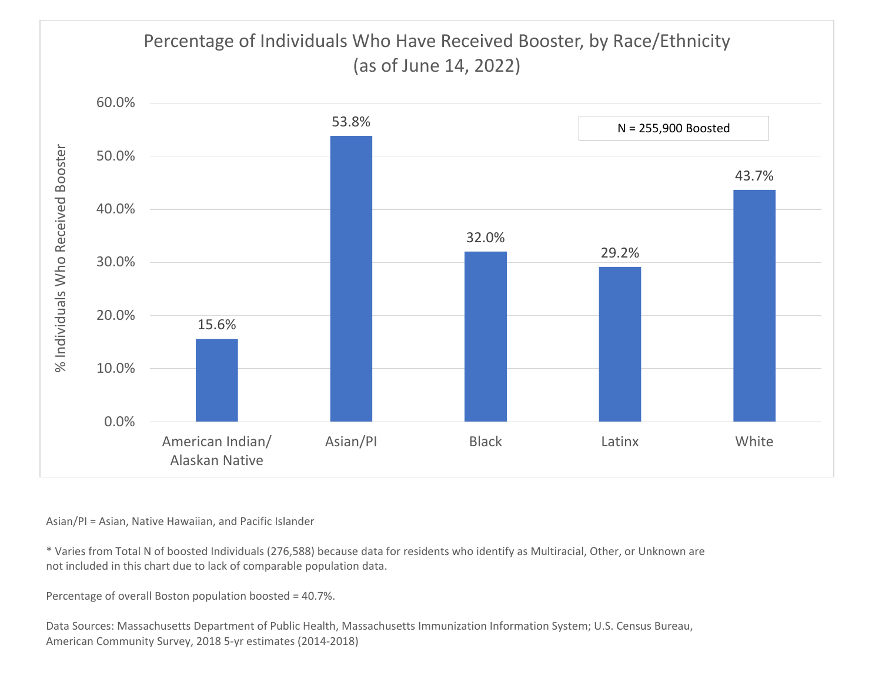

Asian/PI <sup>=</sup> Asian, Native Hawaiian, and Pacific Islander

\* Varies from Total N of boosted Individuals (276,588) because data for residents who identify as Multiracial, Other, or Unknown are not included in this chart due to lack of comparable population data.

Percentage of overall Boston population boosted <sup>=</sup> 40.7%.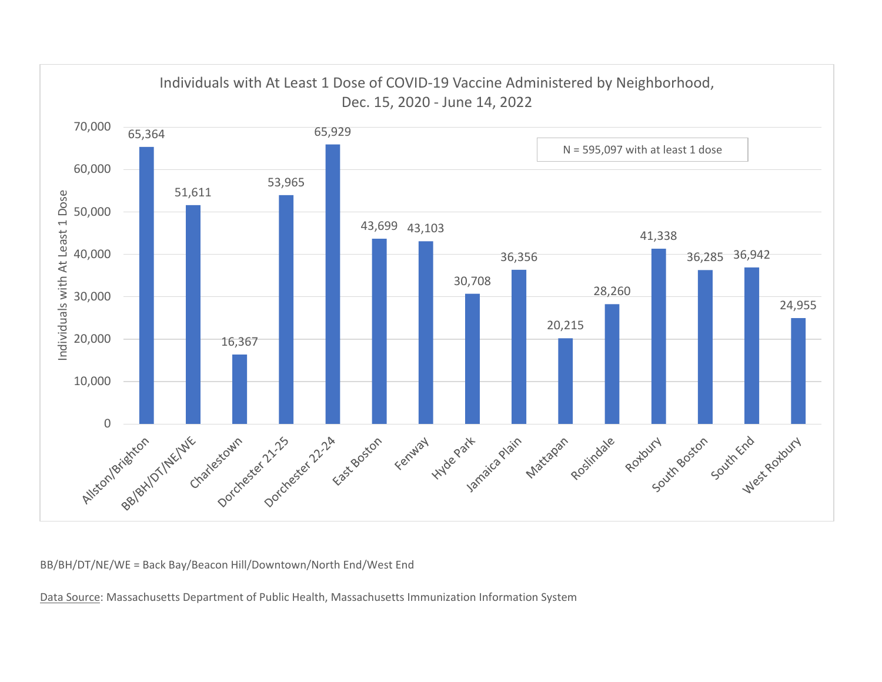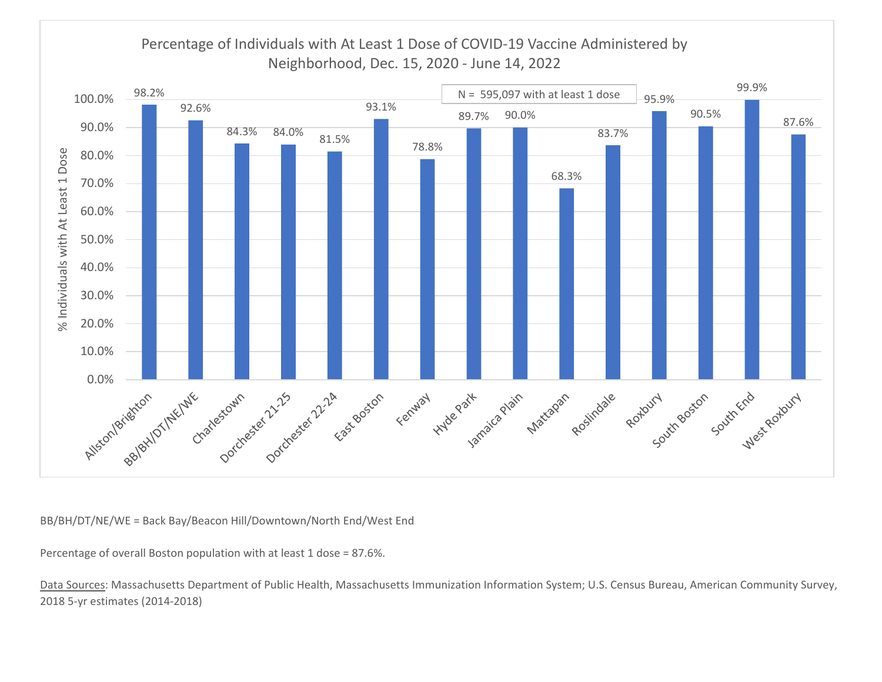

Percentage of overall Boston population with at least 1 dose <sup>=</sup> 87.6%.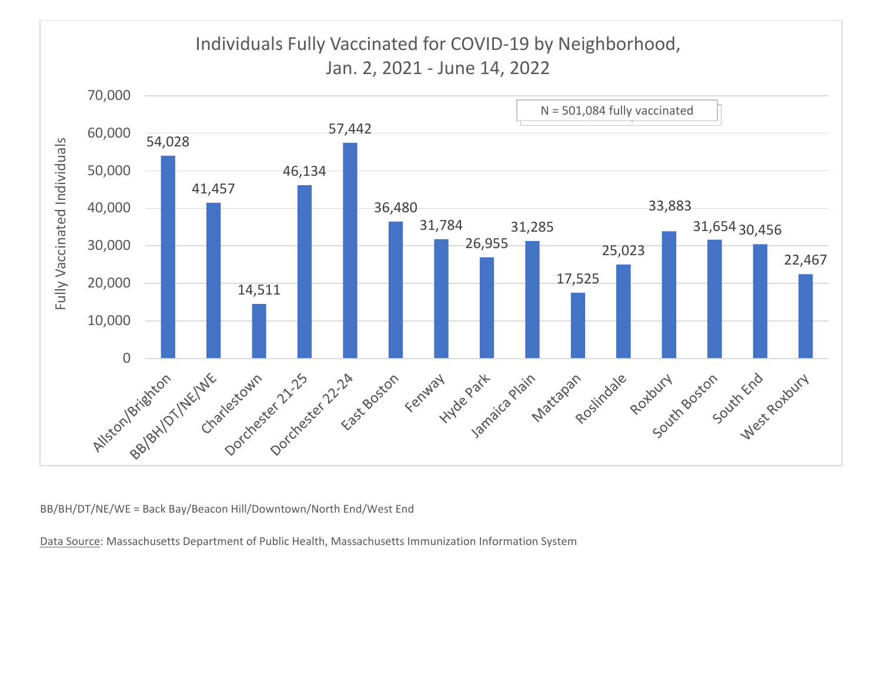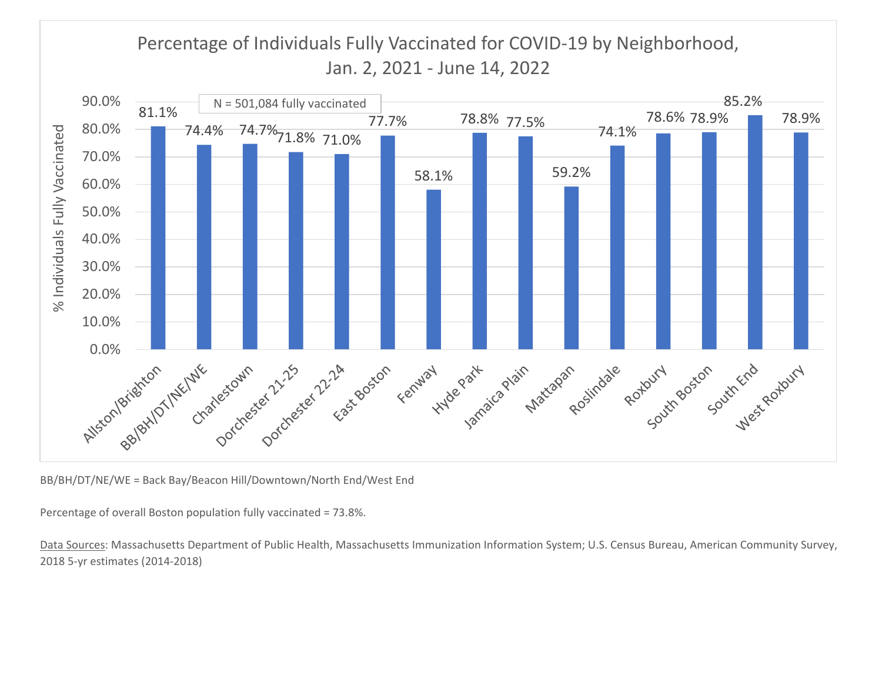## Percentage of Individuals Fully Vaccinated for COVID‐19 by Neighborhood, Jan. 2, 2021 ‐ June 14, 2022



BB/BH/DT/NE/WE <sup>=</sup> Back Bay/Beacon Hill/Downtown/North End/West End

Percentage of overall Boston population fully vaccinated <sup>=</sup> 73.8%.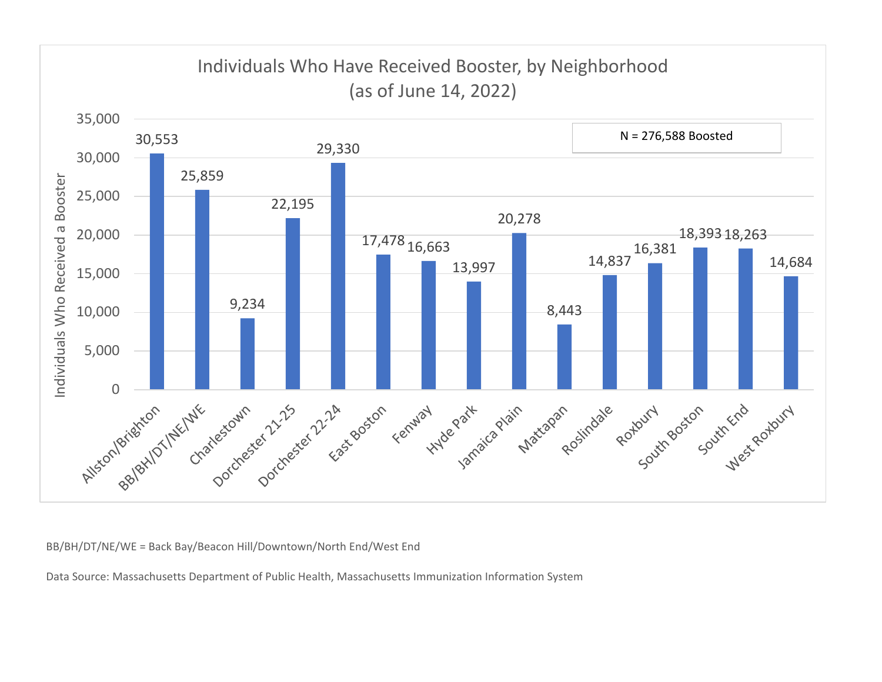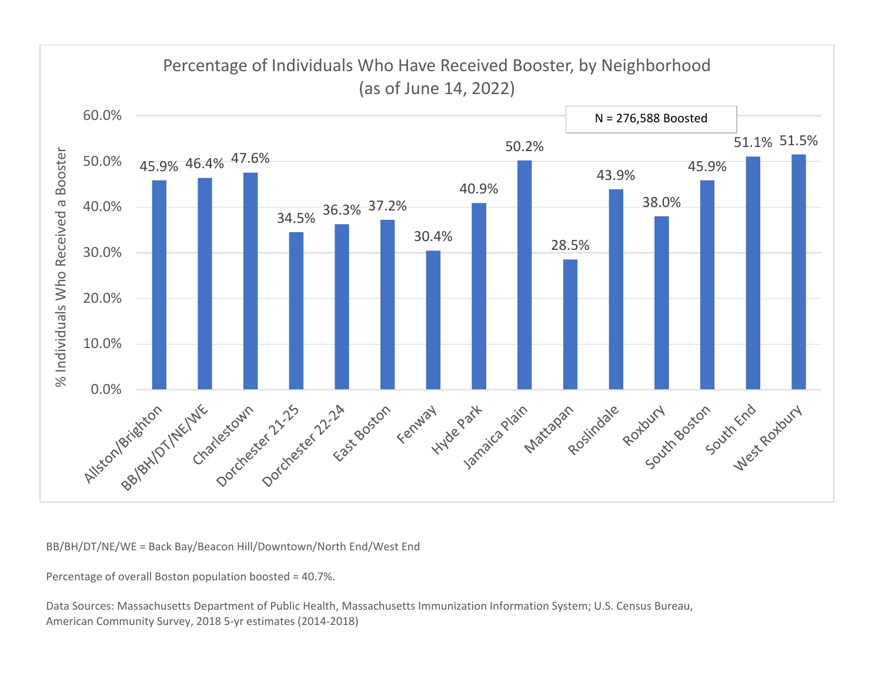

Percentage of overall Boston population boosted <sup>=</sup> 40.7%.